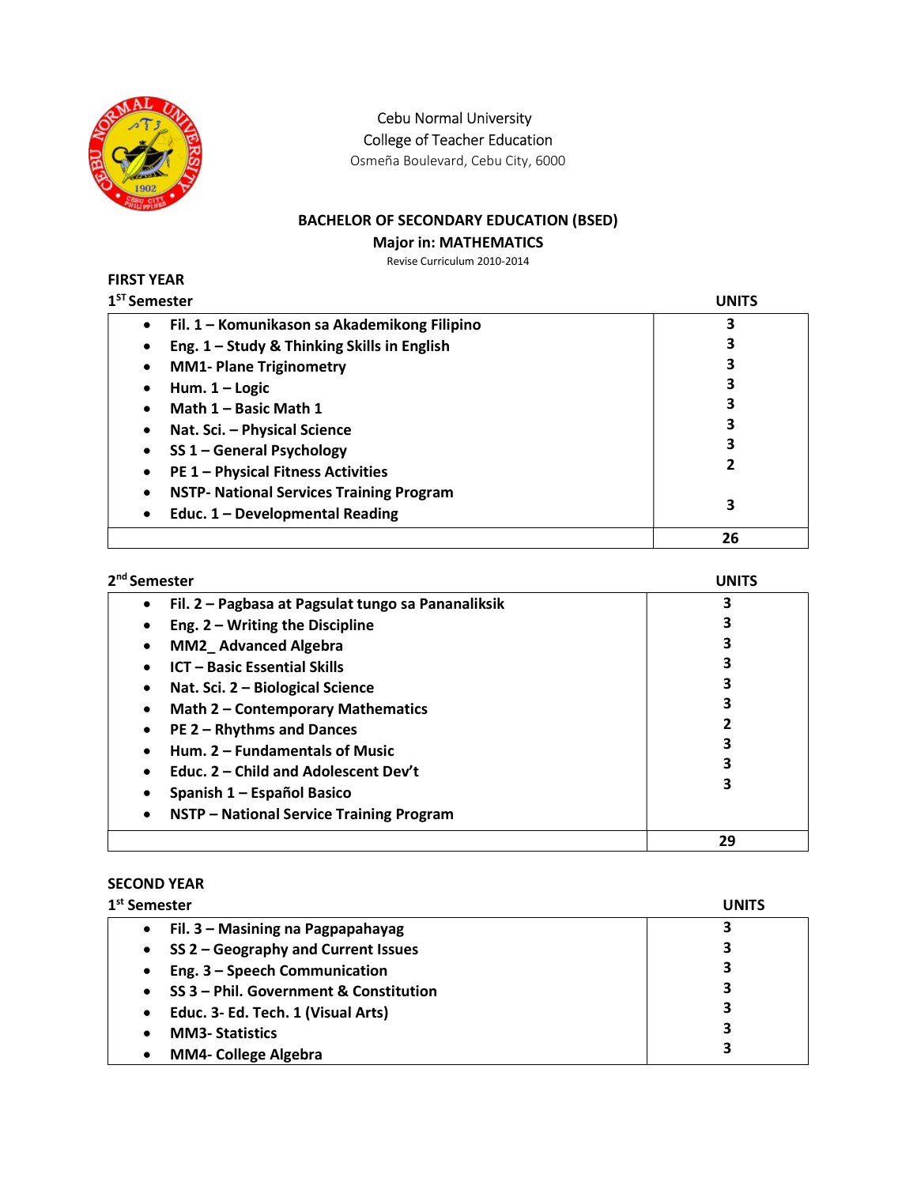

Cebu Normal University

College of Teacher Education

Osmeña Boulevard, Cebu City, 6000

# BACHELOR OF SECONDARY EDUCATION (BSED)

### Major in: MATHEMATICS

Revise Curriculum 2010-2014

### FIRST YEAR  $1<sup>ST</sup>$  Se

| <sup>st</sup> Semester                               | UNITS |
|------------------------------------------------------|-------|
| Fil. 1 - Komunikason sa Akademikong Filipino         | 3     |
| Eng. 1 - Study & Thinking Skills in English          |       |
| <b>MM1- Plane Triginometry</b><br>٠                  |       |
| Hum. $1 -$ Logic                                     |       |
| Math 1 - Basic Math 1                                |       |
| Nat. Sci. - Physical Science                         |       |
| SS 1 - General Psychology                            |       |
| <b>PE 1 - Physical Fitness Activities</b>            |       |
| <b>NSTP- National Services Training Program</b><br>٠ |       |
| Educ. 1 - Developmental Reading<br>$\bullet$         | 3     |
|                                                      | 26    |

| 2 <sup>nd</sup> Semester                                | <b>UNITS</b> |
|---------------------------------------------------------|--------------|
| Fil. 2 - Pagbasa at Pagsulat tungo sa Pananaliksik<br>٠ | R            |
| Eng. $2 - W$ riting the Discipline<br>$\bullet$         |              |
| <b>MM2_Advanced Algebra</b><br>$\bullet$                |              |
| <b>ICT - Basic Essential Skills</b><br>$\bullet$        |              |
| Nat. Sci. 2 - Biological Science<br>٠                   |              |
| Math 2 - Contemporary Mathematics<br>$\bullet$          |              |
| PE 2 - Rhythms and Dances<br>$\bullet$                  |              |
| Hum. 2 - Fundamentals of Music<br>$\bullet$             |              |
| Educ. 2 – Child and Adolescent Dev't<br>$\bullet$       |              |
| Spanish 1 – Español Basico<br>٠                         |              |
| NSTP - National Service Training Program<br>٠           |              |
|                                                         | 29           |

# SECOND YEAR

| 1 <sup>st</sup> Semester                            | UNITS |
|-----------------------------------------------------|-------|
| Fil. 3 - Masining na Pagpapahayag<br>$\bullet$      | 3     |
| SS 2 - Geography and Current Issues<br>$\bullet$    | 3     |
| Eng. 3 - Speech Communication<br>$\bullet$          | 3     |
| SS 3 - Phil. Government & Constitution<br>$\bullet$ | 3     |
| Educ. 3- Ed. Tech. 1 (Visual Arts)<br>$\bullet$     | 3     |
| <b>MM3-Statistics</b>                               | 3     |
| <b>MM4- College Algebra</b>                         |       |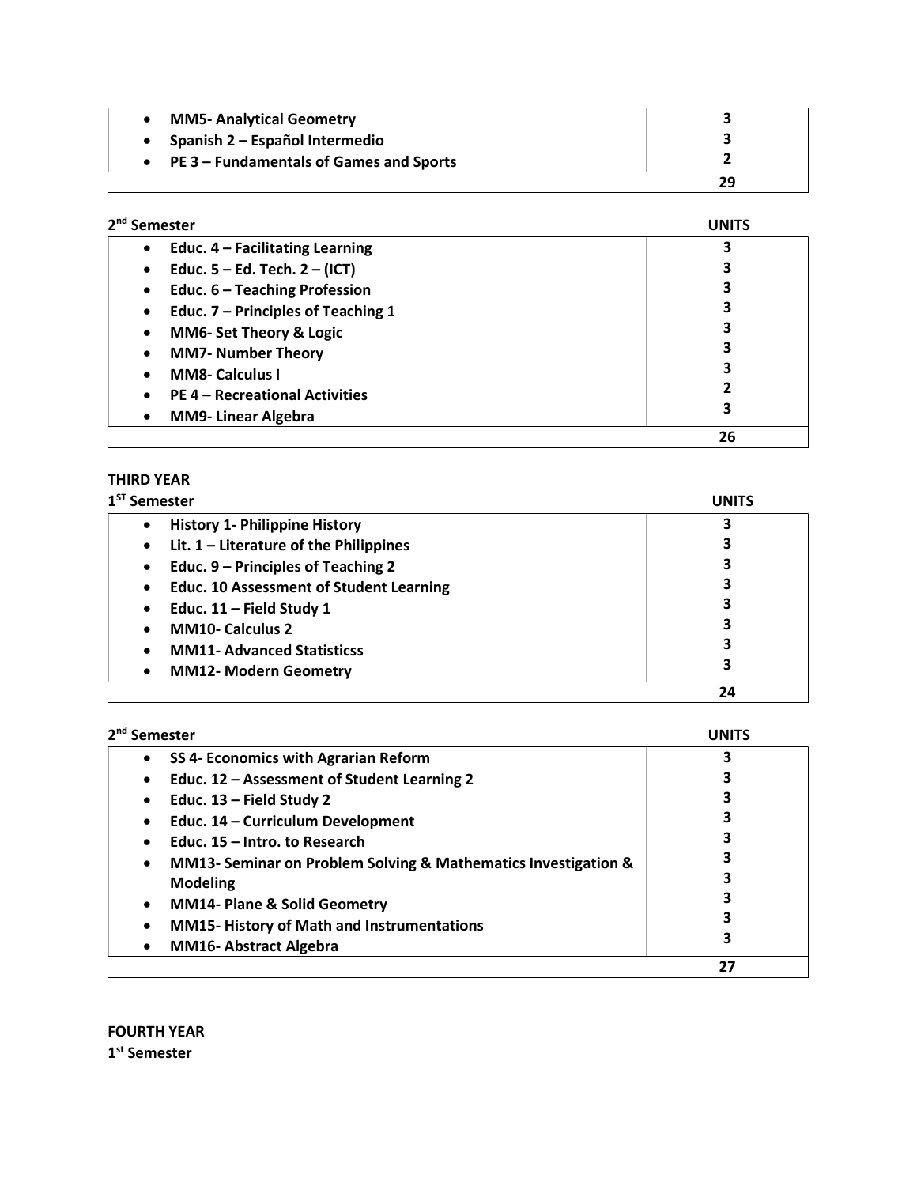| <b>MM5- Analytical Geometry</b>                   |    |
|---------------------------------------------------|----|
| Spanish 2 – Español Intermedio                    |    |
| $\bullet$ PE 3 – Fundamentals of Games and Sports |    |
|                                                   | 29 |

| 2 <sup>nd</sup> Semester                        | UNITS |
|-------------------------------------------------|-------|
| Educ. 4 - Facilitating Learning<br>$\bullet$    |       |
| Educ. $5 - Ed$ . Tech. $2 - (ICT)$<br>$\bullet$ | З     |
| Educ. 6 - Teaching Profession<br>$\bullet$      | 3     |
| Educ. 7 - Principles of Teaching 1<br>$\bullet$ | 3     |
| MM6- Set Theory & Logic<br>٠                    | 3     |
| <b>MM7- Number Theory</b><br>$\bullet$          | 3     |
| <b>MM8- Calculus I</b>                          | 3     |
| <b>PE 4 - Recreational Activities</b>           | 2     |
| <b>MM9-Linear Algebra</b>                       | 3     |
|                                                 | 26    |

### THIRD YEAR

| 1 <sup>ST</sup> Semester                                    | UNITS |
|-------------------------------------------------------------|-------|
| <b>History 1- Philippine History</b>                        | 3     |
| Lit. $1$ – Literature of the Philippines<br>$\bullet$       | 3     |
| Educ. 9 - Principles of Teaching 2<br>$\bullet$             | 3     |
| <b>Educ. 10 Assessment of Student Learning</b><br>$\bullet$ | 3     |
| Educ. $11$ – Field Study 1<br>$\bullet$                     | 3     |
| <b>MM10- Calculus 2</b><br>$\bullet$                        | 3     |
| <b>MM11- Advanced Statisticss</b><br>$\bullet$              | 3     |
| <b>MM12- Modern Geometry</b><br>$\bullet$                   | З     |
|                                                             | 24    |

| 2 <sup>nd</sup> Semester                                                    | UNITS |
|-----------------------------------------------------------------------------|-------|
| SS 4- Economics with Agrarian Reform                                        |       |
| Educ. 12 - Assessment of Student Learning 2<br>٠                            |       |
| Educ. $13$ – Field Study 2                                                  |       |
| Educ. 14 - Curriculum Development                                           |       |
| Educ. 15 - Intro. to Research<br>٠                                          |       |
| MM13- Seminar on Problem Solving & Mathematics Investigation &<br>$\bullet$ |       |
| <b>Modeling</b>                                                             |       |
| <b>MM14- Plane &amp; Solid Geometry</b><br>$\bullet$                        |       |
| <b>MM15- History of Math and Instrumentations</b><br>٠                      |       |
| <b>MM16-Abstract Algebra</b>                                                |       |
|                                                                             | 27    |

FOURTH YEAR 1<sup>st</sup> Semester